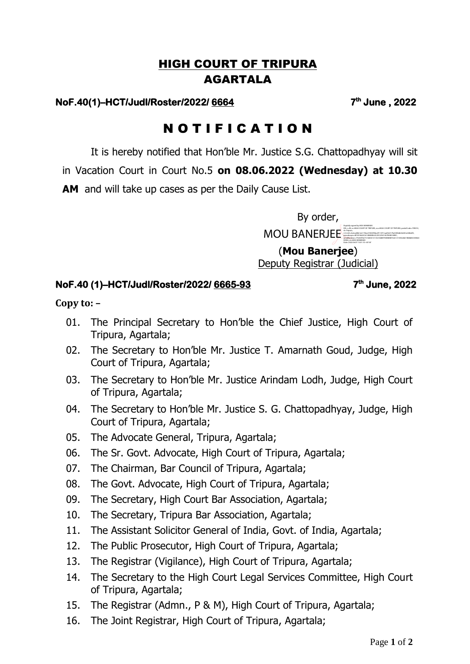## HIGH COURT OF TRIPURA AGARTALA

## **NoF.40(1)–HCT/Judl/Roster/2022/ 6664 7**

**th June , 2022** 

## N O T I F I C A T I O N

It is hereby notified that Hon'ble Mr. Justice S.G. Chattopadhyay will sit

in Vacation Court in Court No.5 **on 08.06.2022 (Wednesday) at 10.30** 

**AM** and will take up cases as per the Daily Cause List.

By order,

MOU BANERJEE DN: c=IN, o=HIGH COURT OF TRIPURA, ou=HIGH COURT OF TRIPURA, postalCode=799010, DDB4, cn=MOU BANERJEE

Date: 2022.06.07 13:01:10 +05'30'

(**Mou Banerjee**) Deputy Registrar (Judicial)

## **NoF.40 (1)–HCT/Judl/Roster/2022/ 6665-93 7**

**th June, 2022** 

**Copy to: –** 

- 01. The Principal Secretary to Hon'ble the Chief Justice, High Court of Tripura, Agartala;
- 02. The Secretary to Hon'ble Mr. Justice T. Amarnath Goud, Judge, High Court of Tripura, Agartala;
- 03. The Secretary to Hon'ble Mr. Justice Arindam Lodh, Judge, High Court of Tripura, Agartala;
- 04. The Secretary to Hon'ble Mr. Justice S. G. Chattopadhyay, Judge, High Court of Tripura, Agartala;
- 05. The Advocate General, Tripura, Agartala;
- 06. The Sr. Govt. Advocate, High Court of Tripura, Agartala;
- 07. The Chairman, Bar Council of Tripura, Agartala;
- 08. The Govt. Advocate, High Court of Tripura, Agartala;
- 09. The Secretary, High Court Bar Association, Agartala;
- 10. The Secretary, Tripura Bar Association, Agartala;
- 11. The Assistant Solicitor General of India, Govt. of India, Agartala;
- 12. The Public Prosecutor, High Court of Tripura, Agartala;
- 13. The Registrar (Vigilance), High Court of Tripura, Agartala;
- 14. The Secretary to the High Court Legal Services Committee, High Court of Tripura, Agartala;
- 15. The Registrar (Admn., P & M), High Court of Tripura, Agartala;
- 16. The Joint Registrar, High Court of Tripura, Agartala;